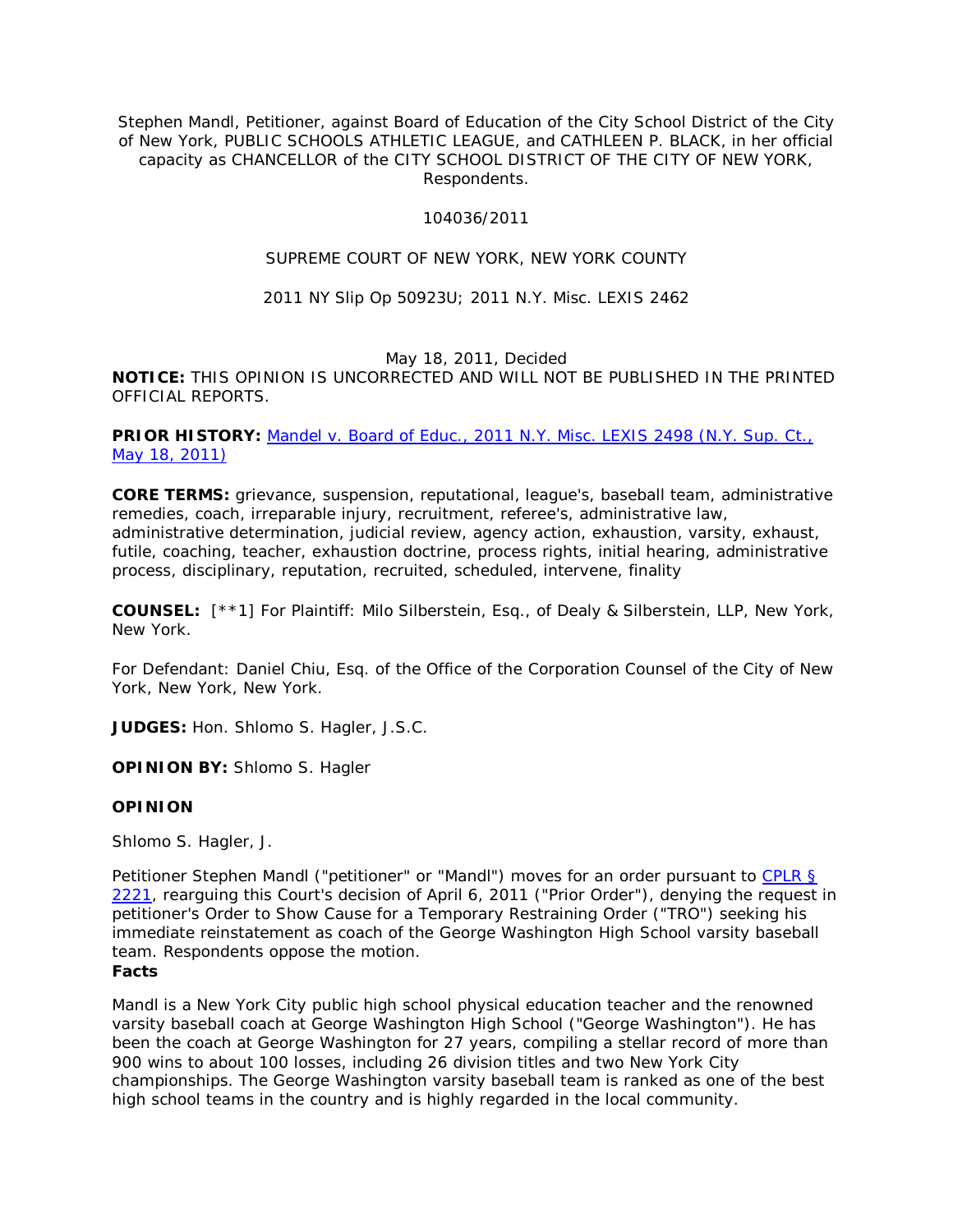Stephen Mandl, Petitioner, against Board of Education of the City School District of the City of New York, PUBLIC SCHOOLS ATHLETIC LEAGUE, and CATHLEEN P. BLACK, in her official capacity as CHANCELLOR of the CITY SCHOOL DISTRICT OF THE CITY OF NEW YORK, Respondents.

#### 104036/2011

# SUPREME COURT OF NEW YORK, NEW YORK COUNTY

#### 2011 NY Slip Op 50923U; 2011 N.Y. Misc. LEXIS 2462

#### May 18, 2011, Decided

**NOTICE:** THIS OPINION IS UNCORRECTED AND WILL NOT BE PUBLISHED IN THE PRINTED OFFICIAL REPORTS.

### PRIOR HISTORY: Mandel v. Board of Educ., 2011 N.Y. Misc. LEXIS 2498 (N.Y. Sup. Ct., [May 18, 2011\)](http://www.lexisnexis.com.ezproxy.strose.edu/lnacui2api/mungo/lexseestat.do?bct=A&risb=21_T12289763851&homeCsi=9095&A=0.7921426252887596&urlEnc=ISO-8859-1&&citeString=2011%20N.Y.%20Misc.%20LEXIS%202498&countryCode=USA)

**CORE TERMS:** grievance, suspension, reputational, league's, baseball team, administrative remedies, coach, irreparable injury, recruitment, referee's, administrative law, administrative determination, judicial review, agency action, exhaustion, varsity, exhaust, futile, coaching, teacher, exhaustion doctrine, process rights, initial hearing, administrative process, disciplinary, reputation, recruited, scheduled, intervene, finality

**COUNSEL:** [\*\*1] For Plaintiff: Milo Silberstein, Esq., of Dealy & Silberstein, LLP, New York, New York.

For Defendant: Daniel Chiu, Esq. of the Office of the Corporation Counsel of the City of New York, New York, New York.

**JUDGES:** Hon. Shlomo S. Hagler, J.S.C.

**OPINION BY:** Shlomo S. Hagler

## **OPINION**

Shlomo S. Hagler, J.

Petitioner Stephen Mandl ("petitioner" or "Mandl") moves for an order pursuant to [CPLR §](http://www.lexisnexis.com.ezproxy.strose.edu/lnacui2api/mungo/lexseestat.do?bct=A&risb=21_T12289763851&homeCsi=9095&A=0.7921426252887596&urlEnc=ISO-8859-1&&citeString=N.Y.%20C.P.L.R.%202221&countryCode=USA)  [2221,](http://www.lexisnexis.com.ezproxy.strose.edu/lnacui2api/mungo/lexseestat.do?bct=A&risb=21_T12289763851&homeCsi=9095&A=0.7921426252887596&urlEnc=ISO-8859-1&&citeString=N.Y.%20C.P.L.R.%202221&countryCode=USA) rearguing this Court's decision of April 6, 2011 ("Prior Order"), denying the request in petitioner's Order to Show Cause for a Temporary Restraining Order ("TRO") seeking his immediate reinstatement as coach of the George Washington High School varsity baseball team. Respondents oppose the motion. **Facts**

## Mandl is a New York City public high school physical education teacher and the renowned varsity baseball coach at George Washington High School ("George Washington"). He has been the coach at George Washington for 27 years, compiling a stellar record of more than 900 wins to about 100 losses, including 26 division titles and two New York City championships. The George Washington varsity baseball team is ranked as one of the best high school teams in the country and is highly regarded in the local community.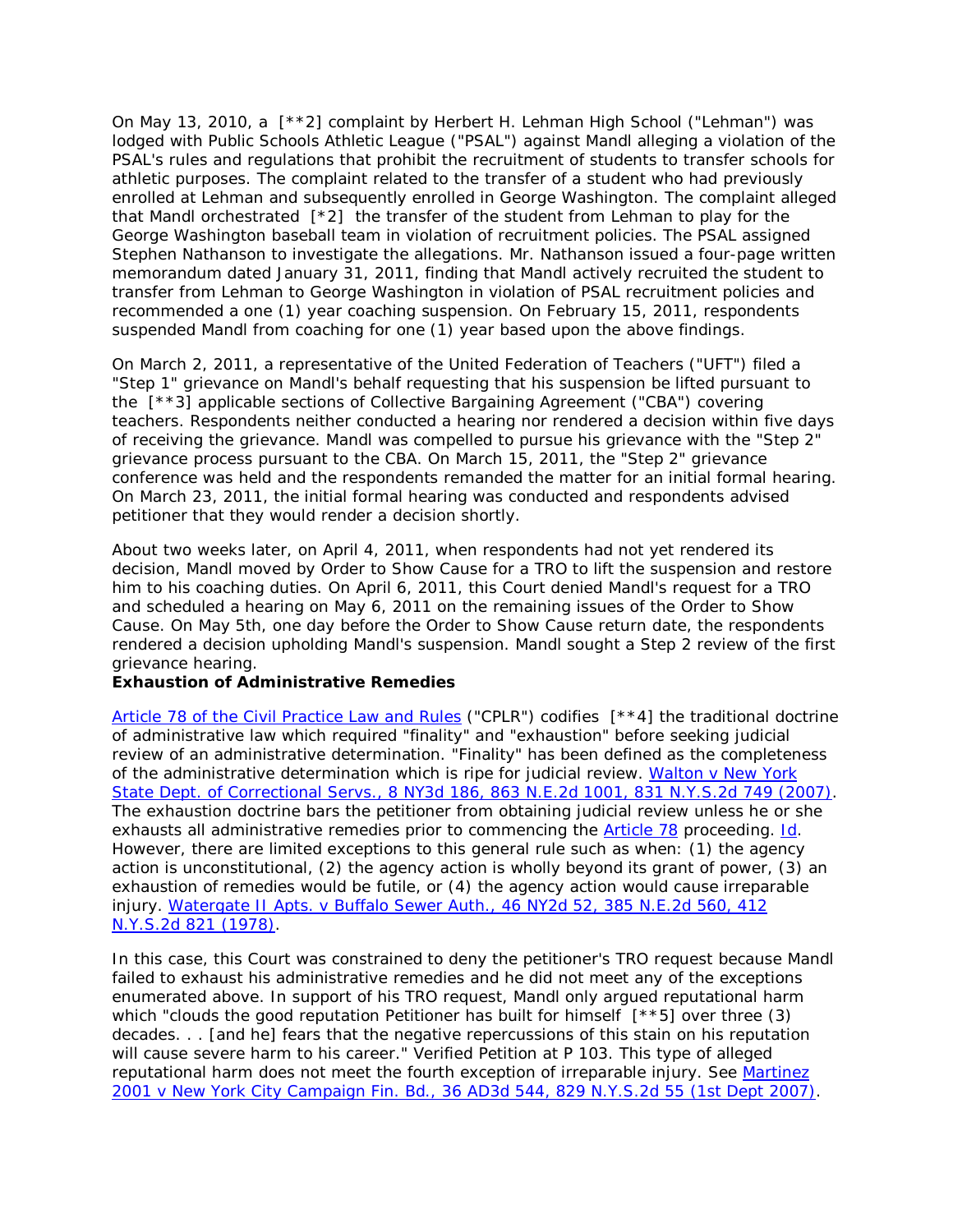On May 13, 2010, a [\*\*2] complaint by Herbert H. Lehman High School ("Lehman") was lodged with Public Schools Athletic League ("PSAL") against Mandl alleging a violation of the PSAL's rules and regulations that prohibit the recruitment of students to transfer schools for athletic purposes. The complaint related to the transfer of a student who had previously enrolled at Lehman and subsequently enrolled in George Washington. The complaint alleged that Mandl orchestrated  $\lceil *2 \rceil$  the transfer of the student from Lehman to play for the George Washington baseball team in violation of recruitment policies. The PSAL assigned Stephen Nathanson to investigate the allegations. Mr. Nathanson issued a four-page written memorandum dated January 31, 2011, finding that Mandl actively recruited the student to transfer from Lehman to George Washington in violation of PSAL recruitment policies and recommended a one (1) year coaching suspension. On February 15, 2011, respondents suspended Mandl from coaching for one (1) year based upon the above findings.

On March 2, 2011, a representative of the United Federation of Teachers ("UFT") filed a "Step 1" grievance on Mandl's behalf requesting that his suspension be lifted pursuant to the [\*\*3] applicable sections of Collective Bargaining Agreement ("CBA") covering teachers. Respondents neither conducted a hearing nor rendered a decision within five days of receiving the grievance. Mandl was compelled to pursue his grievance with the "Step 2" grievance process pursuant to the CBA. On March 15, 2011, the "Step 2" grievance conference was held and the respondents remanded the matter for an initial formal hearing. On March 23, 2011, the initial formal hearing was conducted and respondents advised petitioner that they would render a decision shortly.

About two weeks later, on April 4, 2011, when respondents had not yet rendered its decision, Mandl moved by Order to Show Cause for a TRO to lift the suspension and restore him to his coaching duties. On April 6, 2011, this Court denied Mandl's request for a TRO and scheduled a hearing on May 6, 2011 on the remaining issues of the Order to Show Cause. On May 5th, one day before the Order to Show Cause return date, the respondents rendered a decision upholding Mandl's suspension. Mandl sought a Step 2 review of the first grievance hearing.

#### *Exhaustion of Administrative Remedies*

[Article 78 of the Civil Practice Law and Rules](http://www.lexisnexis.com.ezproxy.strose.edu/lnacui2api/mungo/lexseestat.do?bct=A&risb=21_T12289763851&homeCsi=9095&A=0.7921426252887596&urlEnc=ISO-8859-1&&citeString=N.Y.%20C.P.L.R.%207801&countryCode=USA) ("CPLR") codifies [\*\*4] the traditional doctrine of administrative law which required "finality" and "exhaustion" before seeking judicial review of an administrative determination. "Finality" has been defined as the completeness of the administrative determination which is ripe for judicial review. *[Walton v New York](http://www.lexisnexis.com.ezproxy.strose.edu/lnacui2api/mungo/lexseestat.do?bct=A&risb=21_T12289763851&homeCsi=9095&A=0.7921426252887596&urlEnc=ISO-8859-1&&citeString=8%20N.Y.3d%20186&countryCode=USA)  State Dept. of Correctional Servs*[., 8 NY3d 186, 863 N.E.2d 1001, 831 N.Y.S.2d 749 \(2007\).](http://www.lexisnexis.com.ezproxy.strose.edu/lnacui2api/mungo/lexseestat.do?bct=A&risb=21_T12289763851&homeCsi=9095&A=0.7921426252887596&urlEnc=ISO-8859-1&&citeString=8%20N.Y.3d%20186&countryCode=USA) The exhaustion doctrine bars the petitioner from obtaining judicial review unless he or she exhausts all administrative remedies prior to commencing the [Article 78](http://www.lexisnexis.com.ezproxy.strose.edu/lnacui2api/mungo/lexseestat.do?bct=A&risb=21_T12289763851&homeCsi=9095&A=0.7921426252887596&urlEnc=ISO-8859-1&&citeString=N.Y.%20C.P.L.R.%207801&countryCode=USA) proceeding. *[Id](http://www.lexisnexis.com.ezproxy.strose.edu/lnacui2api/mungo/lexseestat.do?bct=A&risb=21_T12289763851&homeCsi=9095&A=0.7921426252887596&urlEnc=ISO-8859-1&&citeString=8%20N.Y.3d%20186&countryCode=USA)*. However, there are limited exceptions to this general rule such as when: (1) the agency action is unconstitutional, (2) the agency action is wholly beyond its grant of power, (3) an exhaustion of remedies would be futile, or (4) the agency action would cause irreparable injury. *[Watergate II Apts. v Buffalo Sewer Auth](http://www.lexisnexis.com.ezproxy.strose.edu/lnacui2api/mungo/lexseestat.do?bct=A&risb=21_T12289763851&homeCsi=9095&A=0.7921426252887596&urlEnc=ISO-8859-1&&citeString=46%20N.Y.2d%2052&countryCode=USA)*., 46 NY2d 52, 385 N.E.2d 560, 412 [N.Y.S.2d 821 \(1978\).](http://www.lexisnexis.com.ezproxy.strose.edu/lnacui2api/mungo/lexseestat.do?bct=A&risb=21_T12289763851&homeCsi=9095&A=0.7921426252887596&urlEnc=ISO-8859-1&&citeString=46%20N.Y.2d%2052&countryCode=USA)

In this case, this Court was constrained to deny the petitioner's TRO request because Mandl failed to exhaust his administrative remedies and he did not meet any of the exceptions enumerated above. In support of his TRO request, Mandl only argued reputational harm which "clouds the good reputation Petitioner has built for himself [\*\*5] over three (3) decades. . . [and he] fears that the negative repercussions of this stain on his reputation will cause severe harm to his career." Verified Petition at P 103. This type of alleged reputational harm does not meet the fourth exception of irreparable injury. See *[Martinez](http://www.lexisnexis.com.ezproxy.strose.edu/lnacui2api/mungo/lexseestat.do?bct=A&risb=21_T12289763851&homeCsi=9095&A=0.7921426252887596&urlEnc=ISO-8859-1&&citeString=36%20A.D.3d%20544&countryCode=USA)  2001 v New York City Campaign Fin. Bd*[., 36 AD3d 544, 829 N.Y.S.2d 55 \(1st Dept 2007\).](http://www.lexisnexis.com.ezproxy.strose.edu/lnacui2api/mungo/lexseestat.do?bct=A&risb=21_T12289763851&homeCsi=9095&A=0.7921426252887596&urlEnc=ISO-8859-1&&citeString=36%20A.D.3d%20544&countryCode=USA)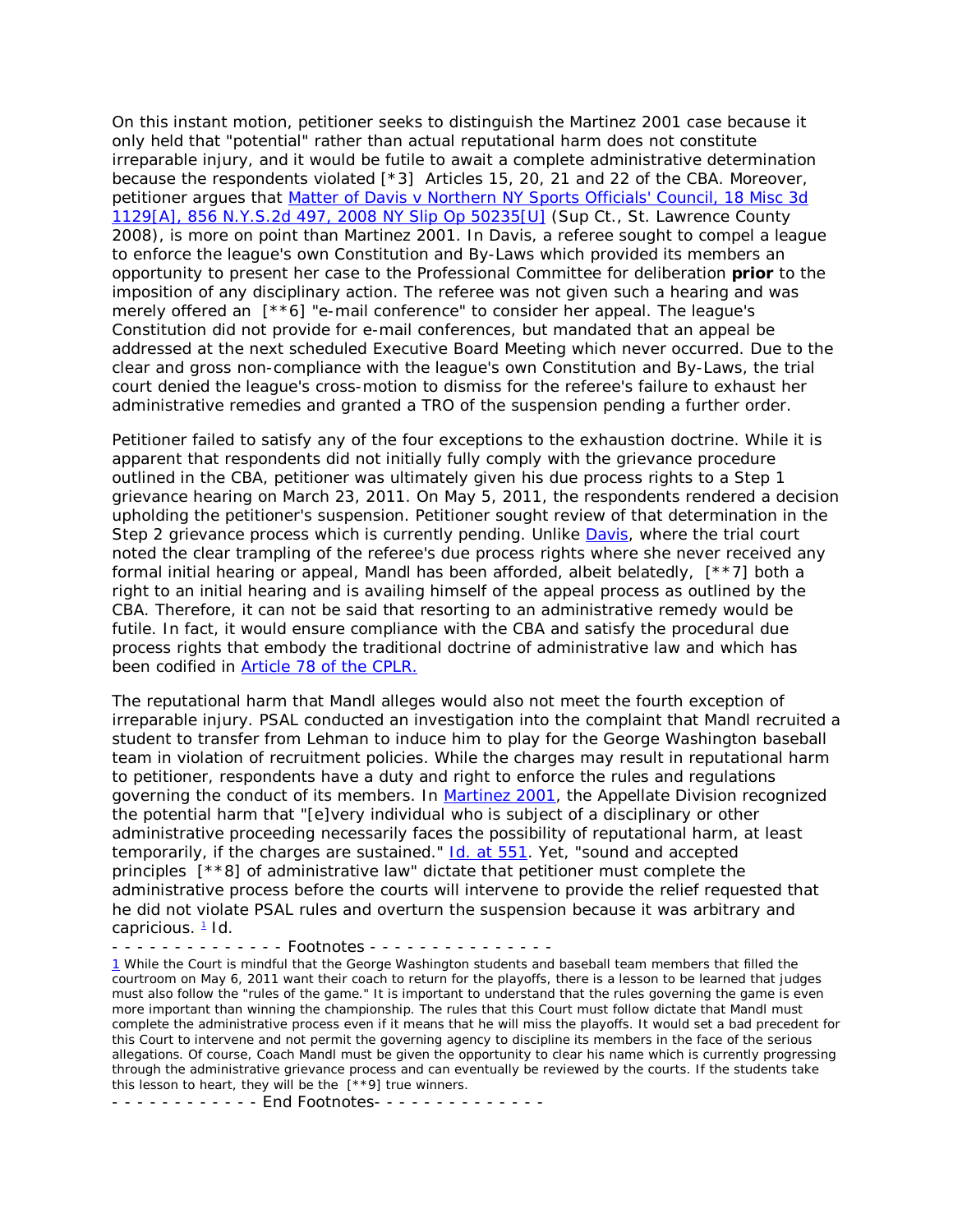On this instant motion, petitioner seeks to distinguish the *Martinez 2001* case because it only held that "potential" rather than actual reputational harm does not constitute irreparable injury, and it would be futile to await a complete administrative determination because the respondents violated [\*3] Articles 15, 20, 21 and 22 of the CBA. Moreover, petitioner argues that *[Matter of Davis v Northern NY Sports Officials' Council](http://www.lexisnexis.com.ezproxy.strose.edu/lnacui2api/mungo/lexseestat.do?bct=A&risb=21_T12289763851&homeCsi=9095&A=0.7921426252887596&urlEnc=ISO-8859-1&&citeString=18%20Misc.%203d%201129A&countryCode=USA)*, 18 Misc 3d [1129\[A\], 856 N.Y.S.2d 497, 2008 NY Slip Op 50235\[U\]](http://www.lexisnexis.com.ezproxy.strose.edu/lnacui2api/mungo/lexseestat.do?bct=A&risb=21_T12289763851&homeCsi=9095&A=0.7921426252887596&urlEnc=ISO-8859-1&&citeString=18%20Misc.%203d%201129A&countryCode=USA) (Sup Ct., St. Lawrence County 2008), is more on point than *Martinez 2001*. In *Davis*, a referee sought to compel a league to enforce the league's own Constitution and By-Laws which provided its members an opportunity to present her case to the Professional Committee for deliberation *prior* to the imposition of any disciplinary action. The referee was not given such a hearing and was merely offered an [\*\*6] "e-mail conference" to consider her appeal. The league's Constitution did not provide for e-mail conferences, but mandated that an appeal be addressed at the next scheduled Executive Board Meeting which never occurred. Due to the clear and gross non-compliance with the league's own Constitution and By-Laws, the trial court denied the league's cross-motion to dismiss for the referee's failure to exhaust her administrative remedies and granted a TRO of the suspension pending a further order.

Petitioner failed to satisfy any of the four exceptions to the exhaustion doctrine. While it is apparent that respondents did not initially fully comply with the grievance procedure outlined in the CBA, petitioner was ultimately given his due process rights to a Step 1 grievance hearing on March 23, 2011. On May 5, 2011, the respondents rendered a decision upholding the petitioner's suspension. Petitioner sought review of that determination in the Step 2 grievance process which is currently pending. Unlike *[Davis](http://www.lexisnexis.com.ezproxy.strose.edu/lnacui2api/mungo/lexseestat.do?bct=A&risb=21_T12289763851&homeCsi=9095&A=0.7921426252887596&urlEnc=ISO-8859-1&&citeString=18%20Misc.%203d%201129A&countryCode=USA)*, where the trial court noted the clear trampling of the referee's due process rights where she never received any formal initial hearing or appeal, Mandl has been afforded, albeit belatedly, [\*\*7] both a right to an initial hearing and is availing himself of the appeal process as outlined by the CBA. Therefore, it can not be said that resorting to an administrative remedy would be futile. In fact, it would ensure compliance with the CBA and satisfy the procedural due process rights that embody the traditional doctrine of administrative law and which has been codified in [Article 78 of the CPLR.](http://www.lexisnexis.com.ezproxy.strose.edu/lnacui2api/mungo/lexseestat.do?bct=A&risb=21_T12289763851&homeCsi=9095&A=0.7921426252887596&urlEnc=ISO-8859-1&&citeString=N.Y.%20C.P.L.R.%207801&countryCode=USA)

The reputational harm that Mandl alleges would also not meet the fourth exception of irreparable injury. PSAL conducted an investigation into the complaint that Mandl recruited a student to transfer from Lehman to induce him to play for the George Washington baseball team in violation of recruitment policies. While the charges may result in reputational harm to petitioner, respondents have a duty and right to enforce the rules and regulations governing the conduct of its members. In *[Martinez 2001](http://www.lexisnexis.com.ezproxy.strose.edu/lnacui2api/mungo/lexseestat.do?bct=A&risb=21_T12289763851&homeCsi=9095&A=0.7921426252887596&urlEnc=ISO-8859-1&&citeString=36%20A.D.3d%20544&countryCode=USA)*, the Appellate Division recognized the potential harm that "[e]very individual who is subject of a disciplinary or other administrative proceeding necessarily faces the possibility of reputational harm, at least temporarily, if the charges are sustained." *Id*[. at 551.](http://www.lexisnexis.com.ezproxy.strose.edu/lnacui2api/mungo/lexseestat.do?bct=A&risb=21_T12289763851&homeCsi=9095&A=0.7921426252887596&urlEnc=ISO-8859-1&&citeString=36%20A.D.3d%20544,%20551&countryCode=USA) Yet, "sound and accepted principles [\*\*8] of administrative law" dictate that petitioner must complete the administrative process before the courts will intervene to provide the relief requested that he did not violate PSAL rules and overturn the suspension because it was arbitrary and capricious. [1](http://www.lexisnexis.com.ezproxy.strose.edu/lnacui2api/frame.do?reloadEntirePage=true&rand=1309871674589&returnToKey=20_T12289763852&parent=docview&target=results_DocumentContent&tokenKey=rsh-23.796574.3358002617#fnote1) *Id*.

- - - - - - - - - - - - - Footnotes - - - - - - - - - - - - - - -

[1](http://www.lexisnexis.com.ezproxy.strose.edu/lnacui2api/frame.do?reloadEntirePage=true&rand=1309871674589&returnToKey=20_T12289763852&parent=docview&target=results_DocumentContent&tokenKey=rsh-23.796574.3358002617#ref1) While the Court is mindful that the George Washington students and baseball team members that filled the courtroom on May 6, 2011 want their coach to return for the playoffs, there is a lesson to be learned that judges must also follow the "rules of the game." It is important to understand that the rules governing the game is even more important than winning the championship. The rules that this Court must follow dictate that Mandl must complete the administrative process even if it means that he will miss the playoffs. It would set a bad precedent for this Court to intervene and not permit the governing agency to discipline its members in the face of the serious allegations. Of course, Coach Mandl must be given the opportunity to clear his name which is currently progressing through the administrative grievance process and can eventually be reviewed by the courts. If the students take this lesson to heart, they will be the [\*\*9] true winners.

- - - - - - - - - - - - End Footnotes- - - - - - - - - - - - - -